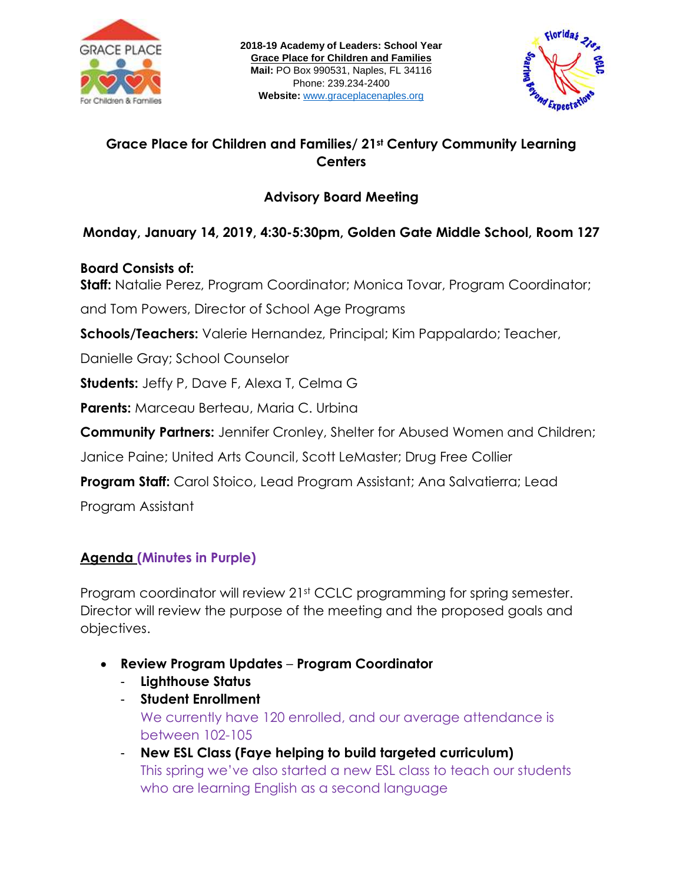



## **Grace Place for Children and Families/ 21st Century Community Learning Centers**

## **Advisory Board Meeting**

# **Monday, January 14, 2019, 4:30-5:30pm, Golden Gate Middle School, Room 127**

#### **Board Consists of:**

**Staff:** Natalie Perez, Program Coordinator; Monica Tovar, Program Coordinator;

and Tom Powers, Director of School Age Programs

**Schools/Teachers:** Valerie Hernandez, Principal; Kim Pappalardo; Teacher,

Danielle Gray; School Counselor

**Students:** Jeffy P, Dave F, Alexa T, Celma G

**Parents:** Marceau Berteau, Maria C. Urbina

**Community Partners:** Jennifer Cronley, Shelter for Abused Women and Children;

Janice Paine; United Arts Council, Scott LeMaster; Drug Free Collier

**Program Staff:** Carol Stoico, Lead Program Assistant; Ana Salvatierra; Lead

Program Assistant

## **Agenda (Minutes in Purple)**

Program coordinator will review 21st CCLC programming for spring semester. Director will review the purpose of the meeting and the proposed goals and objectives.

- **Review Program Updates Program Coordinator**
	- **Lighthouse Status**
	- **Student Enrollment**  We currently have 120 enrolled, and our average attendance is between 102-105
	- **New ESL Class (Faye helping to build targeted curriculum)** This spring we've also started a new ESL class to teach our students who are learning English as a second language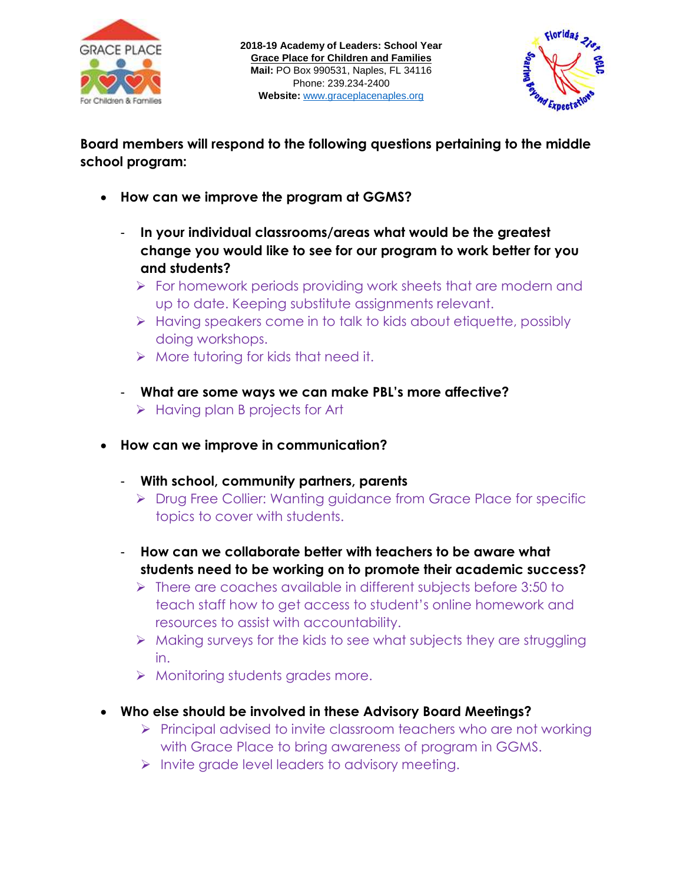



**Board members will respond to the following questions pertaining to the middle school program:** 

- **How can we improve the program at GGMS?**
	- **In your individual classrooms/areas what would be the greatest change you would like to see for our program to work better for you and students?**
		- $\triangleright$  For homework periods providing work sheets that are modern and up to date. Keeping substitute assignments relevant.
		- $\triangleright$  Having speakers come in to talk to kids about etiquette, possibly doing workshops.
		- $\triangleright$  More tutoring for kids that need it.
	- **What are some ways we can make PBL's more affective?** 
		- $\triangleright$  Having plan B projects for Art
- **How can we improve in communication?**
	- **With school, community partners, parents**
		- ▶ Drug Free Collier: Wanting guidance from Grace Place for specific topics to cover with students.
	- **How can we collaborate better with teachers to be aware what students need to be working on to promote their academic success?** 
		- $\triangleright$  There are coaches available in different subjects before 3:50 to teach staff how to get access to student's online homework and resources to assist with accountability.
		- $\triangleright$  Making surveys for the kids to see what subjects they are struggling in.
		- $\triangleright$  Monitoring students grades more.
- **Who else should be involved in these Advisory Board Meetings?** 
	- $\triangleright$  Principal advised to invite classroom teachers who are not working with Grace Place to bring awareness of program in GGMS.
	- $\triangleright$  Invite grade level leaders to advisory meeting.